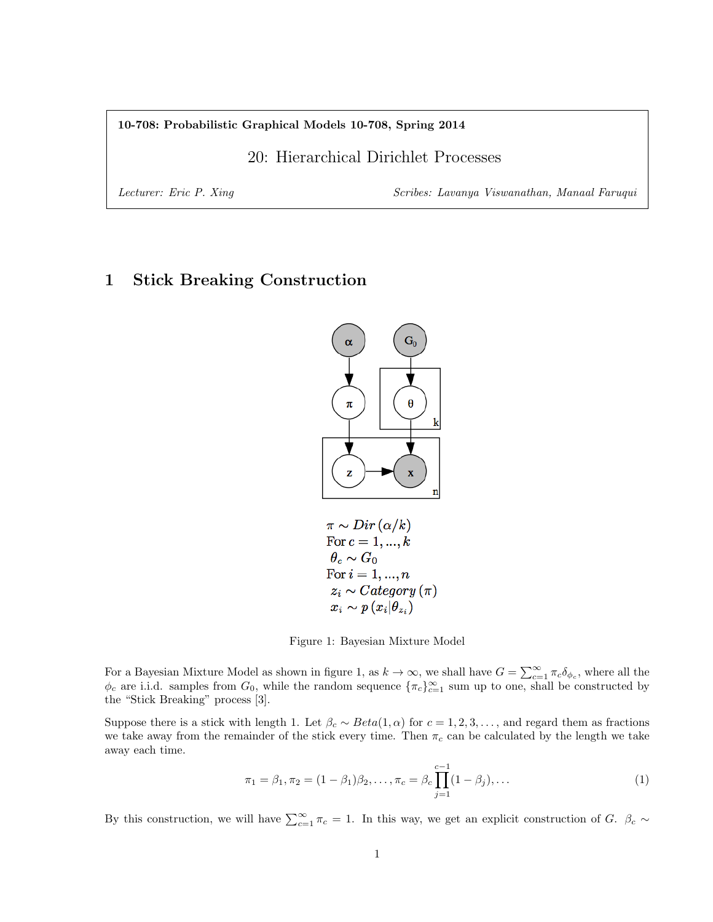#### 10-708: Probabilistic Graphical Models 10-708, Spring 2014

# 20: Hierarchical Dirichlet Processes

Lecturer: Eric P. Xing Scribes: Lavanya Viswanathan, Manaal Faruqui

# 1 Stick Breaking Construction



$$
\begin{array}{l} \pi \sim Dir\left(\alpha / k\right) \\ \text{For } c=1,...,k\\ \theta_c \sim G_0 \\ \text{For } i=1,...,n\\ z_i \sim Categorical \left(\pi\right) \\ x_i \sim p\left(x_i | \theta_{z_i}\right) \end{array}
$$

Figure 1: Bayesian Mixture Model

For a Bayesian Mixture Model as shown in figure 1, as  $k \to \infty$ , we shall have  $G = \sum_{c=1}^{\infty} \pi_c \delta_{\phi_c}$ , where all the  $\phi_c$  are i.i.d. samples from  $G_0$ , while the random sequence  $\{\pi_c\}_{c=1}^{\infty}$  sum up to one, shall be constructed by the "Stick Breaking" process [3].

Suppose there is a stick with length 1. Let  $\beta_c \sim Beta(1, \alpha)$  for  $c = 1, 2, 3, \ldots$ , and regard them as fractions we take away from the remainder of the stick every time. Then  $\pi_c$  can be calculated by the length we take away each time.

$$
\pi_1 = \beta_1, \pi_2 = (1 - \beta_1)\beta_2, \dots, \pi_c = \beta_c \prod_{j=1}^{c-1} (1 - \beta_j), \dots
$$
\n(1)

By this construction, we will have  $\sum_{c=1}^{\infty} \pi_c = 1$ . In this way, we get an explicit construction of G.  $\beta_c \sim$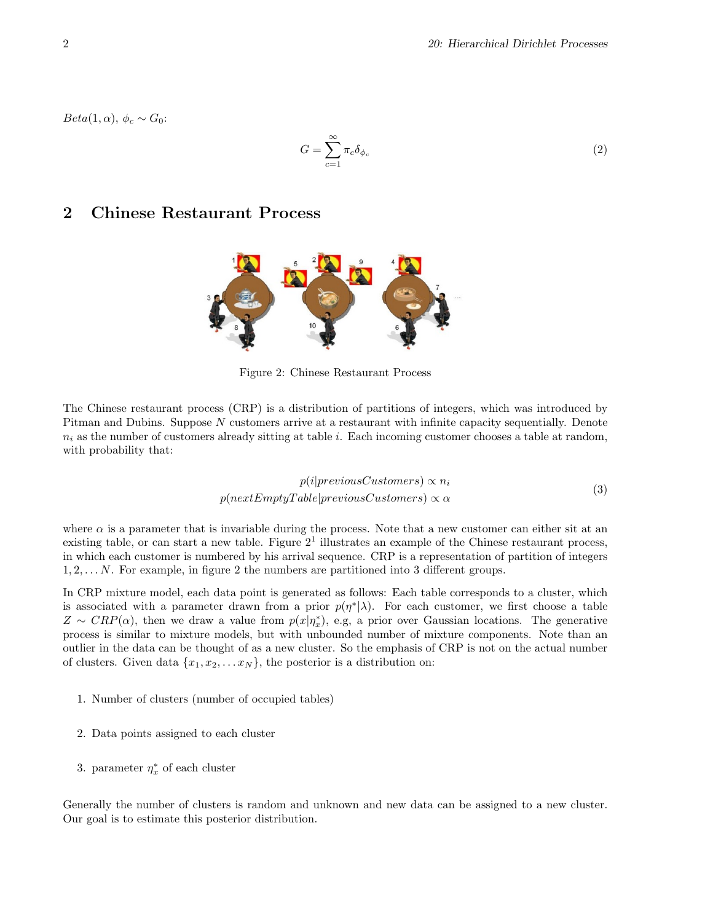$Beta(1,\alpha), \phi_c \sim G_0$ :

$$
G = \sum_{c=1}^{\infty} \pi_c \delta_{\phi_c} \tag{2}
$$

# 2 Chinese Restaurant Process



Figure 2: Chinese Restaurant Process

The Chinese restaurant process (CRP) is a distribution of partitions of integers, which was introduced by Pitman and Dubins. Suppose N customers arrive at a restaurant with infinite capacity sequentially. Denote  $n_i$  as the number of customers already sitting at table i. Each incoming customer chooses a table at random, with probability that:

$$
p(i|previousCustomers) \propto n_i
$$
  
 
$$
p(nextEmptyTable|previousCustomers) \propto \alpha
$$
 (3)

where  $\alpha$  is a parameter that is invariable during the process. Note that a new customer can either sit at an existing table, or can start a new table. Figure  $2<sup>1</sup>$  illustrates an example of the Chinese restaurant process, in which each customer is numbered by his arrival sequence. CRP is a representation of partition of integers  $1, 2, \ldots N$ . For example, in figure 2 the numbers are partitioned into 3 different groups.

In CRP mixture model, each data point is generated as follows: Each table corresponds to a cluster, which is associated with a parameter drawn from a prior  $p(\eta^*|\lambda)$ . For each customer, we first choose a table  $Z \sim CRP(\alpha)$ , then we draw a value from  $p(x|\eta_x^*)$ , e.g, a prior over Gaussian locations. The generative process is similar to mixture models, but with unbounded number of mixture components. Note than an outlier in the data can be thought of as a new cluster. So the emphasis of CRP is not on the actual number of clusters. Given data  $\{x_1, x_2, \ldots x_N\}$ , the posterior is a distribution on:

- 1. Number of clusters (number of occupied tables)
- 2. Data points assigned to each cluster
- 3. parameter  $\eta_x^*$  of each cluster

Generally the number of clusters is random and unknown and new data can be assigned to a new cluster. Our goal is to estimate this posterior distribution.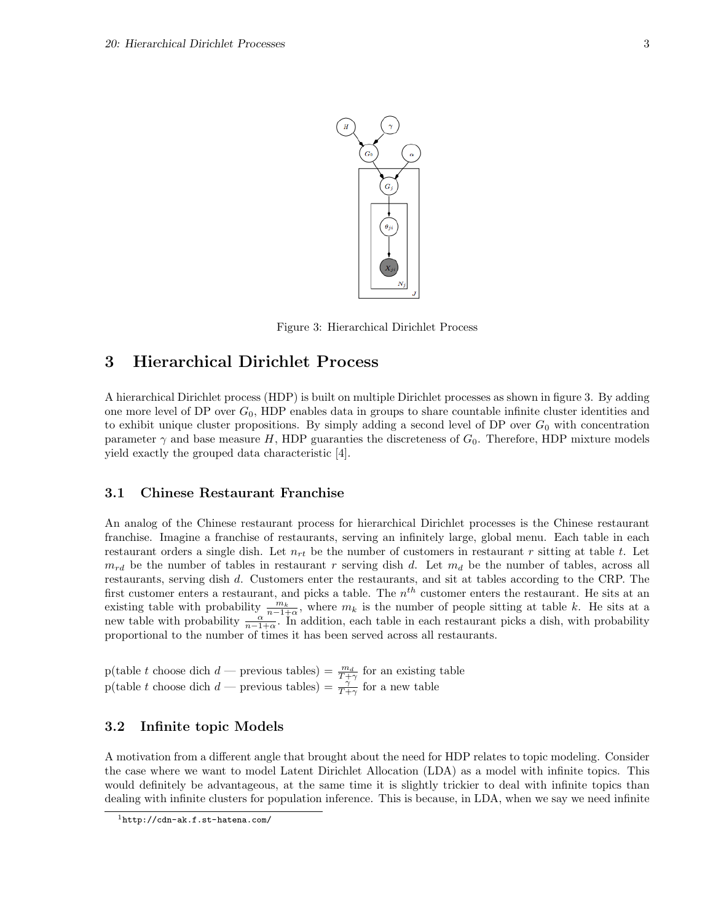

Figure 3: Hierarchical Dirichlet Process

## 3 Hierarchical Dirichlet Process

A hierarchical Dirichlet process (HDP) is built on multiple Dirichlet processes as shown in figure 3. By adding one more level of DP over  $G_0$ , HDP enables data in groups to share countable infinite cluster identities and to exhibit unique cluster propositions. By simply adding a second level of DP over  $G_0$  with concentration parameter  $\gamma$  and base measure H, HDP guaranties the discreteness of  $G_0$ . Therefore, HDP mixture models yield exactly the grouped data characteristic [4].

### 3.1 Chinese Restaurant Franchise

An analog of the Chinese restaurant process for hierarchical Dirichlet processes is the Chinese restaurant franchise. Imagine a franchise of restaurants, serving an infinitely large, global menu. Each table in each restaurant orders a single dish. Let  $n_{rt}$  be the number of customers in restaurant r sitting at table t. Let  $m_{rd}$  be the number of tables in restaurant r serving dish d. Let  $m_d$  be the number of tables, across all restaurants, serving dish d. Customers enter the restaurants, and sit at tables according to the CRP. The first customer enters a restaurant, and picks a table. The  $n^{th}$  customer enters the restaurant. He sits at an existing table with probability  $\frac{m_k}{n-1+\alpha}$ , where  $m_k$  is the number of people sitting at table k. He sits at a new table with probability  $\frac{\alpha}{n-1+\alpha}$ . In addition, each table in each restaurant picks a dish, with probability proportional to the number of times it has been served across all restaurants.

p(table t choose dich  $d$  — previous tables) =  $\frac{m_d}{T+\gamma}$  for an existing table p(table t choose dich  $d$  — previous tables) =  $\frac{\gamma}{T+\gamma}$  for a new table

### 3.2 Infinite topic Models

A motivation from a different angle that brought about the need for HDP relates to topic modeling. Consider the case where we want to model Latent Dirichlet Allocation (LDA) as a model with infinite topics. This would definitely be advantageous, at the same time it is slightly trickier to deal with infinite topics than dealing with infinite clusters for population inference. This is because, in LDA, when we say we need infinite

<sup>1</sup>http://cdn-ak.f.st-hatena.com/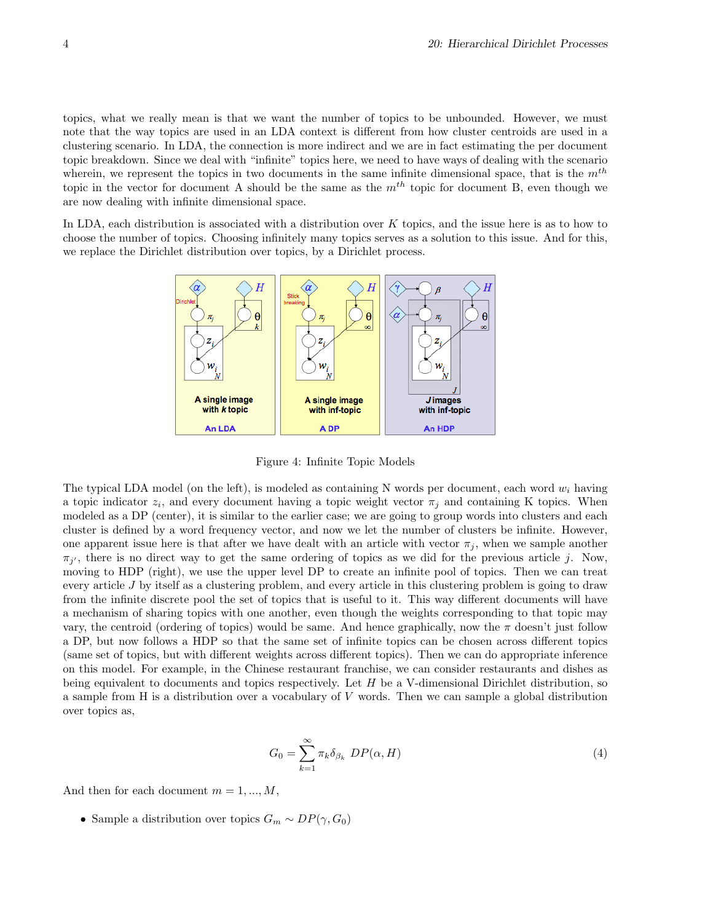topics, what we really mean is that we want the number of topics to be unbounded. However, we must note that the way topics are used in an LDA context is different from how cluster centroids are used in a clustering scenario. In LDA, the connection is more indirect and we are in fact estimating the per document topic breakdown. Since we deal with "infinite" topics here, we need to have ways of dealing with the scenario wherein, we represent the topics in two documents in the same infinite dimensional space, that is the  $m<sup>th</sup>$ topic in the vector for document A should be the same as the  $m<sup>th</sup>$  topic for document B, even though we are now dealing with infinite dimensional space.

In LDA, each distribution is associated with a distribution over K topics, and the issue here is as to how to choose the number of topics. Choosing infinitely many topics serves as a solution to this issue. And for this, we replace the Dirichlet distribution over topics, by a Dirichlet process.



Figure 4: Infinite Topic Models

The typical LDA model (on the left), is modeled as containing N words per document, each word  $w_i$  having a topic indicator  $z_i$ , and every document having a topic weight vector  $\pi_j$  and containing K topics. When modeled as a DP (center), it is similar to the earlier case; we are going to group words into clusters and each cluster is defined by a word frequency vector, and now we let the number of clusters be infinite. However, one apparent issue here is that after we have dealt with an article with vector  $\pi_j$ , when we sample another  $\pi_{j'}$ , there is no direct way to get the same ordering of topics as we did for the previous article j. Now, moving to HDP (right), we use the upper level DP to create an infinite pool of topics. Then we can treat every article J by itself as a clustering problem, and every article in this clustering problem is going to draw from the infinite discrete pool the set of topics that is useful to it. This way different documents will have a mechanism of sharing topics with one another, even though the weights corresponding to that topic may vary, the centroid (ordering of topics) would be same. And hence graphically, now the  $\pi$  doesn't just follow a DP, but now follows a HDP so that the same set of infinite topics can be chosen across different topics (same set of topics, but with different weights across different topics). Then we can do appropriate inference on this model. For example, in the Chinese restaurant franchise, we can consider restaurants and dishes as being equivalent to documents and topics respectively. Let  $H$  be a V-dimensional Dirichlet distribution, so a sample from H is a distribution over a vocabulary of V words. Then we can sample a global distribution over topics as,

$$
G_0 = \sum_{k=1}^{\infty} \pi_k \delta_{\beta_k} \ DP(\alpha, H) \tag{4}
$$

And then for each document  $m = 1, ..., M$ ,

• Sample a distribution over topics  $G_m \sim DP(\gamma, G_0)$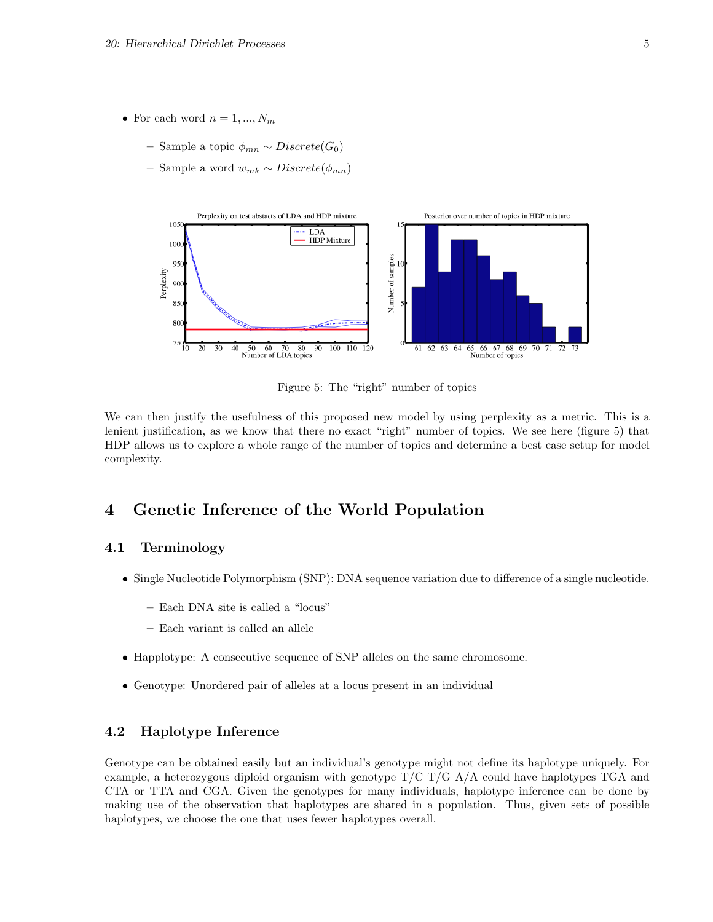- For each word  $n = 1, ..., N_m$ 
	- Sample a topic  $\phi_{mn}$  ∼ Discrete(G<sub>0</sub>)
	- Sample a word wmk ∼ Discrete(φmn)



Figure 5: The "right" number of topics

We can then justify the usefulness of this proposed new model by using perplexity as a metric. This is a lenient justification, as we know that there no exact "right" number of topics. We see here (figure 5) that HDP allows us to explore a whole range of the number of topics and determine a best case setup for model complexity.

# 4 Genetic Inference of the World Population

### 4.1 Terminology

- Single Nucleotide Polymorphism (SNP): DNA sequence variation due to difference of a single nucleotide.
	- Each DNA site is called a "locus"
	- Each variant is called an allele
- Happlotype: A consecutive sequence of SNP alleles on the same chromosome.
- Genotype: Unordered pair of alleles at a locus present in an individual

#### 4.2 Haplotype Inference

Genotype can be obtained easily but an individual's genotype might not define its haplotype uniquely. For example, a heterozygous diploid organism with genotype  $T/C$   $T/G$   $A/A$  could have haplotypes TGA and CTA or TTA and CGA. Given the genotypes for many individuals, haplotype inference can be done by making use of the observation that haplotypes are shared in a population. Thus, given sets of possible haplotypes, we choose the one that uses fewer haplotypes overall.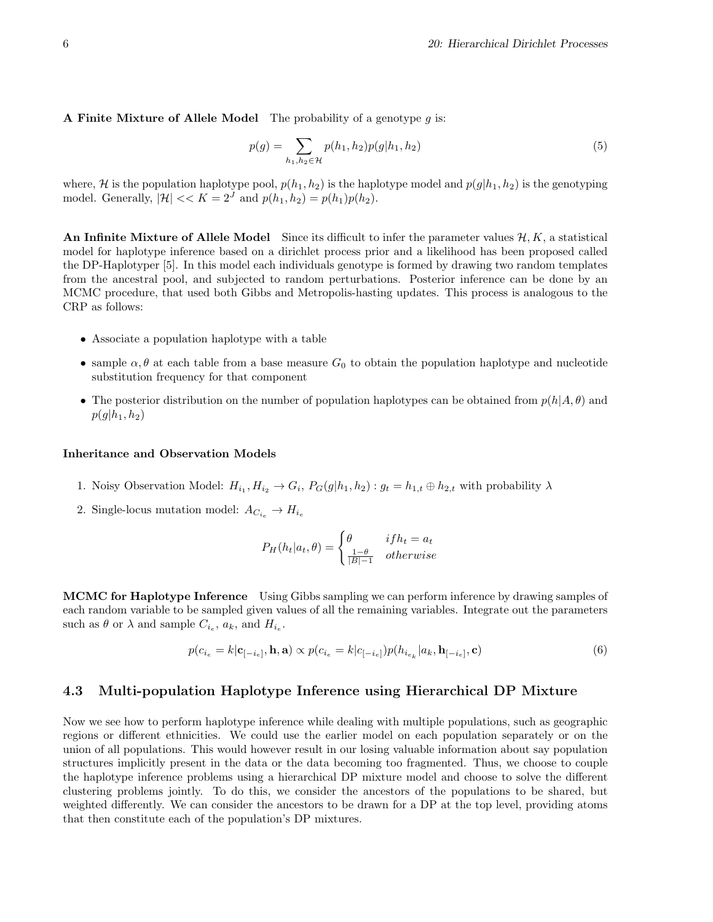A Finite Mixture of Allele Model The probability of a genotype  $g$  is:

$$
p(g) = \sum_{h_1, h_2 \in \mathcal{H}} p(h_1, h_2) p(g|h_1, h_2)
$$
\n(5)

where, H is the population haplotype pool,  $p(h_1, h_2)$  is the haplotype model and  $p(g|h_1, h_2)$  is the genotyping model. Generally,  $|\mathcal{H}| \ll K = 2^J$  and  $p(h_1, h_2) = p(h_1)p(h_2)$ .

An Infinite Mixture of Allele Model Since its difficult to infer the parameter values  $\mathcal{H}, K$ , a statistical model for haplotype inference based on a dirichlet process prior and a likelihood has been proposed called the DP-Haplotyper [5]. In this model each individuals genotype is formed by drawing two random templates from the ancestral pool, and subjected to random perturbations. Posterior inference can be done by an MCMC procedure, that used both Gibbs and Metropolis-hasting updates. This process is analogous to the CRP as follows:

- Associate a population haplotype with a table
- sample  $\alpha, \theta$  at each table from a base measure  $G_0$  to obtain the population haplotype and nucleotide substitution frequency for that component
- The posterior distribution on the number of population haplotypes can be obtained from  $p(h|A, \theta)$  and  $p(g|h_1, h_2)$

#### Inheritance and Observation Models

- 1. Noisy Observation Model:  $H_{i_1}, H_{i_2} \to G_i$ ,  $P_G(g|h_1, h_2)$ :  $g_t = h_{1,t} \oplus h_{2,t}$  with probability  $\lambda$
- 2. Single-locus mutation model:  $A_{C_{i_e}} \to H_{i_e}$

$$
P_H(h_t|a_t, \theta) = \begin{cases} \theta & if h_t = a_t \\ \frac{1-\theta}{|B|-1} & otherwise \end{cases}
$$

MCMC for Haplotype Inference Using Gibbs sampling we can perform inference by drawing samples of each random variable to be sampled given values of all the remaining variables. Integrate out the parameters such as  $\theta$  or  $\lambda$  and sample  $C_{i_e}$ ,  $a_k$ , and  $H_{i_e}$ .

$$
p(c_{i_e} = k|\mathbf{c}_{[-i_e]}, \mathbf{h}, \mathbf{a}) \propto p(c_{i_e} = k|c_{[-i_e]})p(h_{i_{e_k}}|a_k, \mathbf{h}_{[-i_e]}, \mathbf{c})
$$
\n(6)

#### 4.3 Multi-population Haplotype Inference using Hierarchical DP Mixture

Now we see how to perform haplotype inference while dealing with multiple populations, such as geographic regions or different ethnicities. We could use the earlier model on each population separately or on the union of all populations. This would however result in our losing valuable information about say population structures implicitly present in the data or the data becoming too fragmented. Thus, we choose to couple the haplotype inference problems using a hierarchical DP mixture model and choose to solve the different clustering problems jointly. To do this, we consider the ancestors of the populations to be shared, but weighted differently. We can consider the ancestors to be drawn for a DP at the top level, providing atoms that then constitute each of the population's DP mixtures.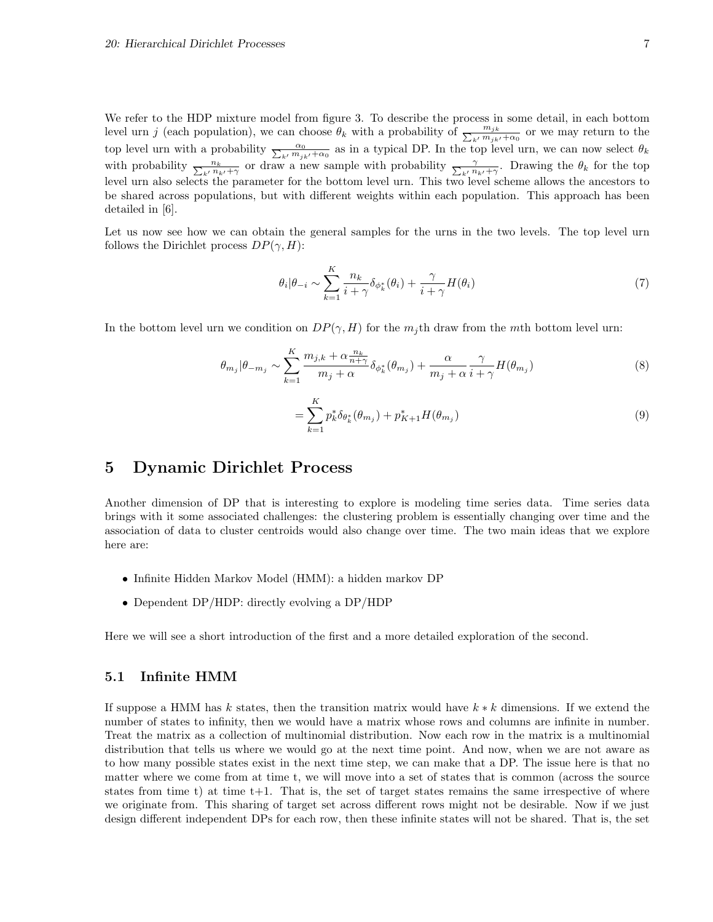We refer to the HDP mixture model from figure 3. To describe the process in some detail, in each bottom level urn j (each population), we can choose  $\theta_k$  with a probability of  $\frac{m_{jk}}{\sum_{k'} m_{jk'} + \alpha_0}$  or we may return to the top level urn with a probability  $\frac{\alpha_0}{\sum_{k'} m_{jk'} + \alpha_0}$  as in a typical DP. In the top level urn, we can now select  $\theta_k$ with probability  $\frac{n_k}{\sum_{k'} n_{k'} + \gamma}$  or draw a new sample with probability  $\frac{\gamma}{\sum_{k'} n_{k'} + \gamma}$ . Drawing the  $\theta_k$  for the top level urn also selects the parameter for the bottom level urn. This two level scheme allows the ancestors to be shared across populations, but with different weights within each population. This approach has been detailed in [6].

Let us now see how we can obtain the general samples for the urns in the two levels. The top level urn follows the Dirichlet process  $DP(\gamma, H)$ :

$$
\theta_i|\theta_{-i} \sim \sum_{k=1}^K \frac{n_k}{i+\gamma} \delta_{\phi_k^*}(\theta_i) + \frac{\gamma}{i+\gamma} H(\theta_i)
$$
\n
$$
\tag{7}
$$

In the bottom level urn we condition on  $DP(\gamma, H)$  for the  $m_i$ th draw from the mth bottom level urn:

$$
\theta_{m_j}|\theta_{-m_j} \sim \sum_{k=1}^K \frac{m_{j,k} + \alpha \frac{n_k}{n+\gamma}}{m_j + \alpha} \delta_{\phi_k^*}(\theta_{m_j}) + \frac{\alpha}{m_j + \alpha} \frac{\gamma}{i+\gamma} H(\theta_{m_j})
$$
\n(8)

$$
= \sum_{k=1}^{K} p_k^* \delta_{\theta_k^*}(\theta_{m_j}) + p_{K+1}^* H(\theta_{m_j})
$$
\n(9)

## 5 Dynamic Dirichlet Process

Another dimension of DP that is interesting to explore is modeling time series data. Time series data brings with it some associated challenges: the clustering problem is essentially changing over time and the association of data to cluster centroids would also change over time. The two main ideas that we explore here are:

- Infinite Hidden Markov Model (HMM): a hidden markov DP
- Dependent DP/HDP: directly evolving a DP/HDP

Here we will see a short introduction of the first and a more detailed exploration of the second.

#### 5.1 Infinite HMM

If suppose a HMM has k states, then the transition matrix would have  $k * k$  dimensions. If we extend the number of states to infinity, then we would have a matrix whose rows and columns are infinite in number. Treat the matrix as a collection of multinomial distribution. Now each row in the matrix is a multinomial distribution that tells us where we would go at the next time point. And now, when we are not aware as to how many possible states exist in the next time step, we can make that a DP. The issue here is that no matter where we come from at time t, we will move into a set of states that is common (across the source states from time t) at time  $t+1$ . That is, the set of target states remains the same irrespective of where we originate from. This sharing of target set across different rows might not be desirable. Now if we just design different independent DPs for each row, then these infinite states will not be shared. That is, the set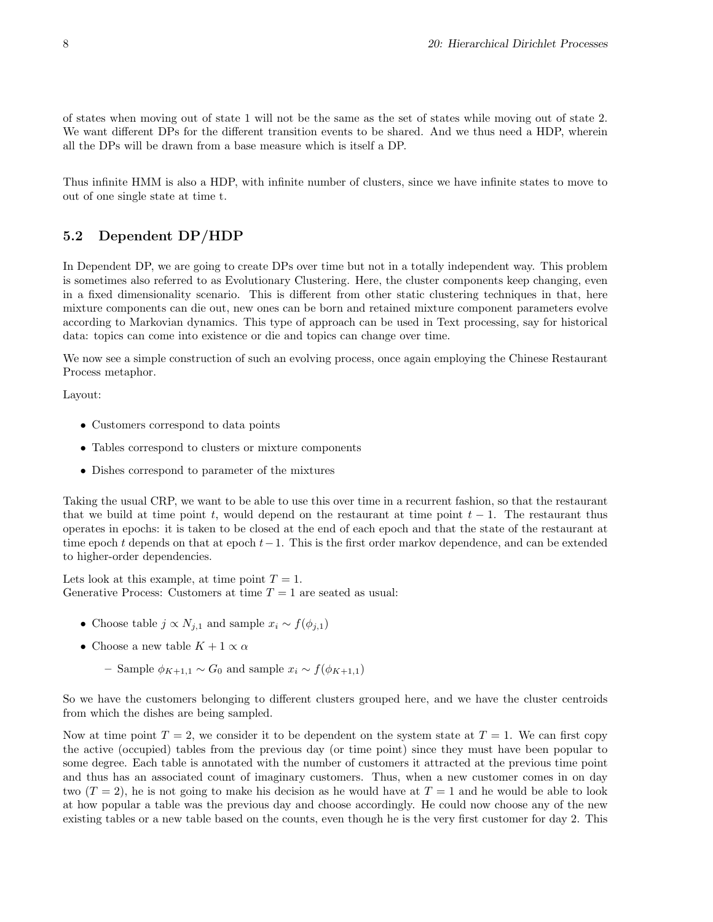of states when moving out of state 1 will not be the same as the set of states while moving out of state 2. We want different DPs for the different transition events to be shared. And we thus need a HDP, wherein all the DPs will be drawn from a base measure which is itself a DP.

Thus infinite HMM is also a HDP, with infinite number of clusters, since we have infinite states to move to out of one single state at time t.

### 5.2 Dependent DP/HDP

In Dependent DP, we are going to create DPs over time but not in a totally independent way. This problem is sometimes also referred to as Evolutionary Clustering. Here, the cluster components keep changing, even in a fixed dimensionality scenario. This is different from other static clustering techniques in that, here mixture components can die out, new ones can be born and retained mixture component parameters evolve according to Markovian dynamics. This type of approach can be used in Text processing, say for historical data: topics can come into existence or die and topics can change over time.

We now see a simple construction of such an evolving process, once again employing the Chinese Restaurant Process metaphor.

Layout:

- Customers correspond to data points
- Tables correspond to clusters or mixture components
- Dishes correspond to parameter of the mixtures

Taking the usual CRP, we want to be able to use this over time in a recurrent fashion, so that the restaurant that we build at time point t, would depend on the restaurant at time point  $t - 1$ . The restaurant thus operates in epochs: it is taken to be closed at the end of each epoch and that the state of the restaurant at time epoch t depends on that at epoch  $t-1$ . This is the first order markov dependence, and can be extended to higher-order dependencies.

Lets look at this example, at time point  $T = 1$ . Generative Process: Customers at time  $T = 1$  are seated as usual:

- Choose table  $j \propto N_{j,1}$  and sample  $x_i \sim f(\phi_{i,1})$
- Choose a new table  $K + 1 \propto \alpha$ 
	- Sample  $\phi_{K+1,1}$  ∼  $G_0$  and sample  $x_i \sim f(\phi_{K+1,1})$

So we have the customers belonging to different clusters grouped here, and we have the cluster centroids from which the dishes are being sampled.

Now at time point  $T = 2$ , we consider it to be dependent on the system state at  $T = 1$ . We can first copy the active (occupied) tables from the previous day (or time point) since they must have been popular to some degree. Each table is annotated with the number of customers it attracted at the previous time point and thus has an associated count of imaginary customers. Thus, when a new customer comes in on day two  $(T = 2)$ , he is not going to make his decision as he would have at  $T = 1$  and he would be able to look at how popular a table was the previous day and choose accordingly. He could now choose any of the new existing tables or a new table based on the counts, even though he is the very first customer for day 2. This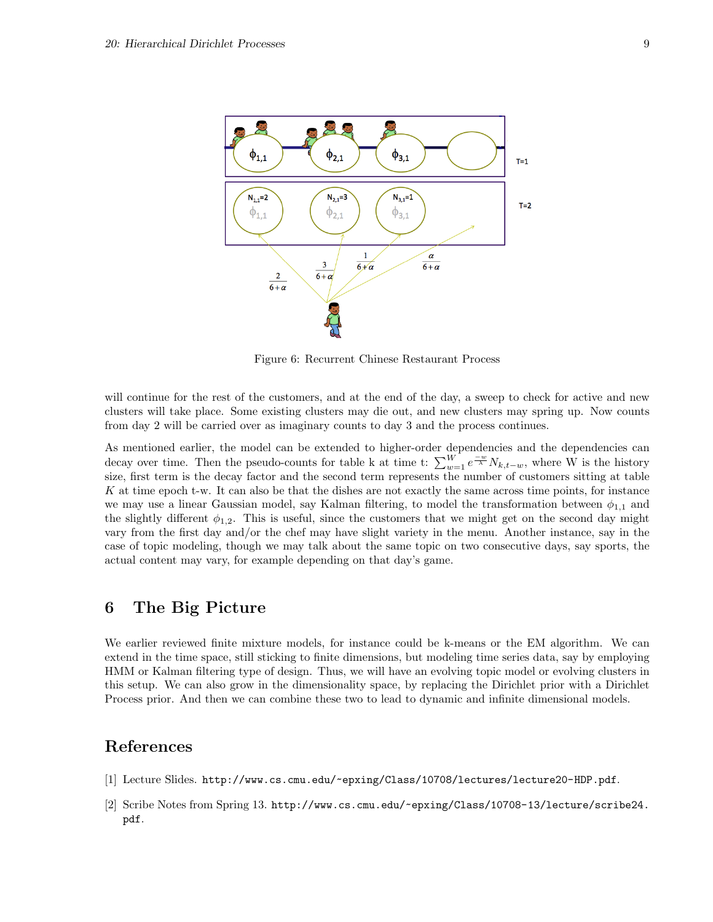

Figure 6: Recurrent Chinese Restaurant Process

will continue for the rest of the customers, and at the end of the day, a sweep to check for active and new clusters will take place. Some existing clusters may die out, and new clusters may spring up. Now counts from day 2 will be carried over as imaginary counts to day 3 and the process continues.

As mentioned earlier, the model can be extended to higher-order dependencies and the dependencies can decay over time. Then the pseudo-counts for table k at time t:  $\sum_{w=1}^{W} e^{-w \over \lambda} N_{k,t-w}$ , where W is the history size, first term is the decay factor and the second term represents the number of customers sitting at table K at time epoch t-w. It can also be that the dishes are not exactly the same across time points, for instance we may use a linear Gaussian model, say Kalman filtering, to model the transformation between  $\phi_{1,1}$  and the slightly different  $\phi_{1,2}$ . This is useful, since the customers that we might get on the second day might vary from the first day and/or the chef may have slight variety in the menu. Another instance, say in the case of topic modeling, though we may talk about the same topic on two consecutive days, say sports, the actual content may vary, for example depending on that day's game.

## 6 The Big Picture

We earlier reviewed finite mixture models, for instance could be k-means or the EM algorithm. We can extend in the time space, still sticking to finite dimensions, but modeling time series data, say by employing HMM or Kalman filtering type of design. Thus, we will have an evolving topic model or evolving clusters in this setup. We can also grow in the dimensionality space, by replacing the Dirichlet prior with a Dirichlet Process prior. And then we can combine these two to lead to dynamic and infinite dimensional models.

## References

- [1] Lecture Slides. http://www.cs.cmu.edu/~epxing/Class/10708/lectures/lecture20-HDP.pdf.
- [2] Scribe Notes from Spring 13. http://www.cs.cmu.edu/~epxing/Class/10708-13/lecture/scribe24. pdf.